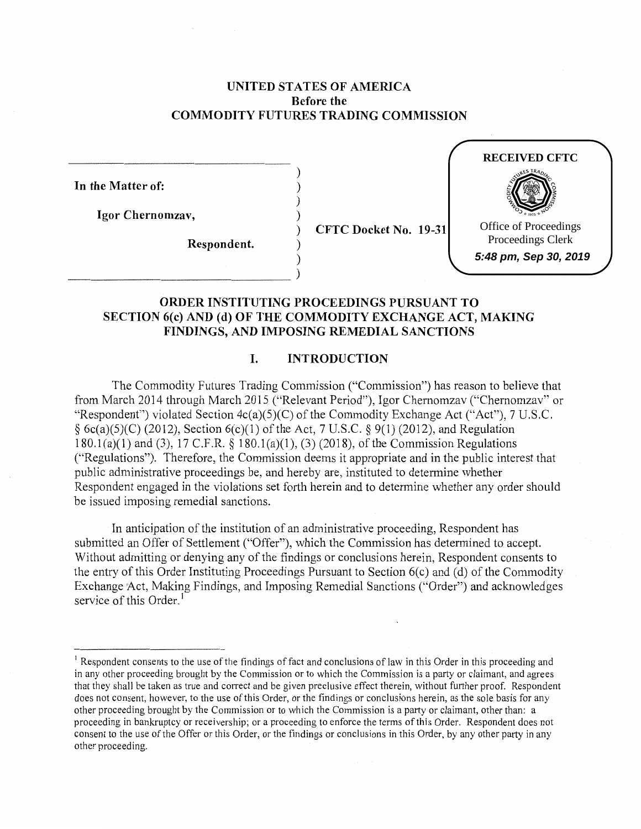## **UNITED STATES OF AMERICA Before the COMMODITY FUTURES TRADING COMMISSION**

) ) ) )

) )

**In the Matter of:** 

**Igor Chernomzav,** 

) **CFTC Docket No. 19-31** 



**Respondent.** 

 $\qquad \qquad )$ 

# **ORDER INSTITUTING PROCEEDINGS PURSUANT TO SECTION 6(c) AND (d) OF THE COMMODITY EXCHANGE ACT, MAKING FINDINGS, AND IMPOSING REMEDIAL SANCTIONS**

# **I. INTRODUCTION**

The Commodity Futures Trading Commission ("Commission") has reason to believe that from March 2014 through March 2015 ("Relevant Period"), Igor Chernomzav ("Chernomzav" or "Respondent") violated Section 4c(a)(5)(C) of the Commodity Exchange Act ("Act"), 7 U.S.C. § 6c(a)(5)(C) (2012), Section 6(c)(1) of the Act, 7 U.S.C. § 9(1) (2012), and Regulation 180.l(a)(l) and (3), 17 C.F.R. § 180.l(a)(l), (3) (2018), of the Commission Regulations ("Regulations"). Therefore, the Commission deems it appropriate and in the public interest that public administrative proceedings be, and hereby are, instituted to determine whether Respondent engaged in the violations set forth herein and to determine whether any order should be issued imposing remedial sanctions.

In anticipation of the institution of an administrative proceeding, Respondent has submitted an Offer of Settlement ("Offer"), which the Commission has determined to accept. Without admitting or denying any of the findings or conclusions herein, Respondent consents to the entry of this Order Instituting Proceedings Pursuant to Section  $6(c)$  and (d) of the Commodity Exchange Act, Making Findings, and Imposing Remedial Sanctions ("Order") and acknowledges service of this Order. $<sup>1</sup>$ </sup>

<sup>&</sup>lt;sup>1</sup> Respondent consents to the use of the findings of fact and conclusions of law in this Order in this proceeding and in any other proceeding brought by the Commission or to which the Commission is a party or claimant, and agrees that they shall be taken as true and correct and be given preclusive effect therein, without further proof. Respondent does not consent, however, to the use of this Order, or the findings or conclusions herein, as the sole basis for any other proceeding brought by the Commission or to which the Commission is a party or claimant, other than: a proceeding in bankruptcy or receivership; or a proceeding to enforce the terms of this Order. Respondent does not consent to the use of the Offer or this Order, or the findings or conclusions in this Order, by any other party in any other proceeding.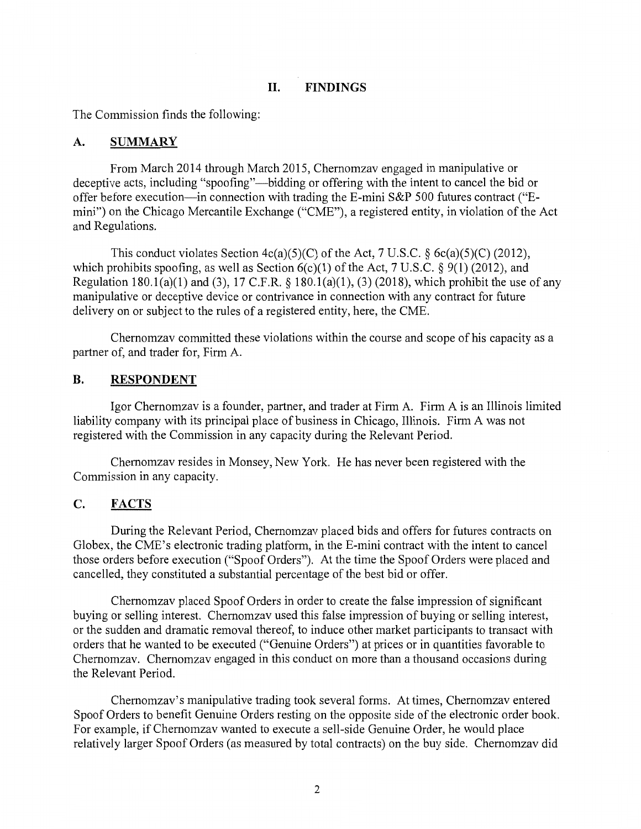# **II. FINDINGS**

The Commission finds the following:

## **A. SUMMARY**

From March 2014 through March 2015, Chemomzav engaged in manipulative or deceptive acts, including "spoofing"-bidding or offering with the intent to cancel the bid or offer before execution-in connection with trading the E-mini S&P 500 futures contract ("Emini") on the Chicago Mercantile Exchange ("CME"), a registered entity, in violation of the Act and Regulations.

This conduct violates Section  $4c(a)(5)(C)$  of the Act, 7 U.S.C. § 6c(a)(5)(C) (2012), which prohibits spoofing, as well as Section  $6(c)(1)$  of the Act, 7 U.S.C. § 9(1) (2012), and Regulation 180.1(a)(1) and (3), 17 C.F.R. § 180.1(a)(1), (3) (2018), which prohibit the use of any manipulative or deceptive device or contrivance in connection with any contract for future delivery on or subject to the rules of a registered entity, here, the CME.

Chemomzav committed these violations within the course and scope of his capacity as a partner of, and trader for, Firm A.

## **B. RESPONDENT**

Igor Chemomzav is a founder, partner, and trader at Firm A. Firm A is an Illinois limited liability company with its principal place of business in Chicago, Illinois. Firm A was not registered with the Commission in any capacity during the Relevant Period.

Chemomzav resides in Monsey, New York. He has never been registered with the Commission in any capacity.

# **C. FACTS**

During the Relevant Period, Chemomzav placed bids and offers for futures contracts on Globex, the CME's electronic trading platform, in the E-mini contract with the intent to cancel those orders before execution ("Spoof Orders"). At the time the Spoof Orders were placed and cancelled, they constituted a substantial percentage of the best bid or offer.

Chemomzav placed Spoof Orders in order to create the false impression of significant buying or selling interest. Chemomzav used this false impression of buying or selling interest, or the sudden and dramatic removal thereof, to induce other market participants to transact with orders that he wanted to be executed ("Genuine Orders") at prices or in quantities favorable to Chemomzav. Chemomzav engaged in this conduct on more than a thousand occasions during the Relevant Period.

Chemomzav's manipulative trading took several forms. At times, Chemomzav entered Spoof Orders to benefit Genuine Orders resting on the opposite side of the electronic order book. For example, if Chemomzav wanted to execute a sell-side Genuine Order, he would place relatively larger Spoof Orders (as measured by total contracts) on the buy side. Chernomzav did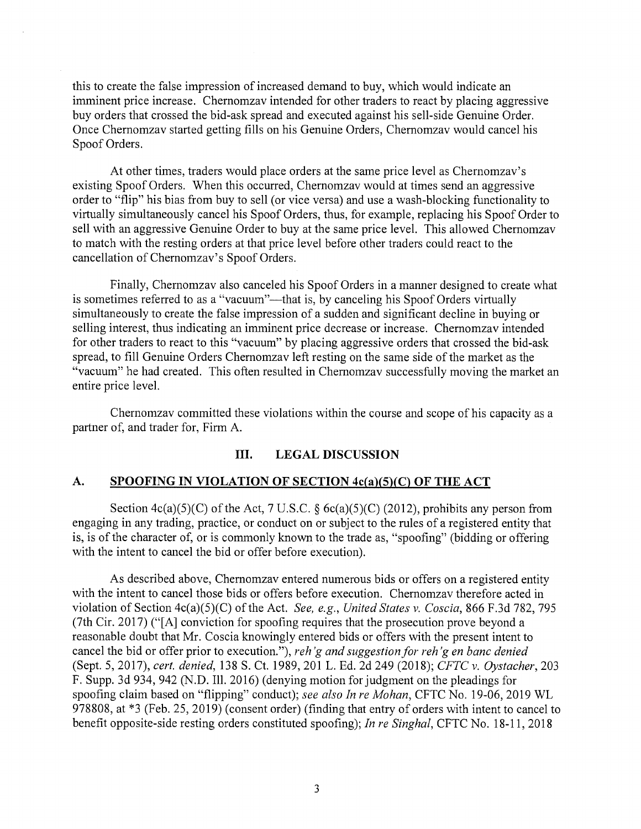this to create the false impression of increased demand to buy, which would indicate an imminent price increase. Chernomzav intended for other traders to react by placing aggressive buy orders that crossed the bid-ask spread and executed against his sell-side Genuine Order. Once Chernomzav started getting fills on his Genuine Orders, Chernomzav would cancel his Spoof Orders.

At other times, traders would place orders at the same price level as Chernomzav's existing Spoof Orders. When this occurred, Chernomzav would at times send an aggressive order to "flip" his bias from buy to sell (or vice versa) and use a wash-blocking functionality to virtually simultaneously cancel his Spoof Orders, thus, for example, replacing his Spoof Order to sell with an aggressive Genuine Order to buy at the same price level. This allowed Chernomzav to match with the resting orders at that price level before other traders could react to the cancellation of Chernomzav's Spoof Orders.

Finally, Chernomzav also canceled his Spoof Orders in a manner designed to create what is sometimes referred to as a "vacuum"---that is, by canceling his Spoof Orders virtually simultaneously to create the false impression of a sudden and significant decline in buying or selling interest, thus indicating an imminent price decrease or increase. Chernomzav intended for other traders to react to this "vacuum" by placing aggressive orders that crossed the bid-ask spread, to fill Genuine Orders Chernomzav left resting on the same side of the market as the "vacuum" he had created. This often resulted in Chernomzav successfully moving the market an entire price level.

Chernomzav committed these violations within the course and scope of his capacity as a partner of, and trader for, Firm A.

## **III. LEGAL DISCUSSION**

#### **A. SPOOFING IN VIOLATION OF SECTION 4c(a)(5)(C) OF THE ACT**

Section  $4c(a)(5)(C)$  of the Act, 7 U.S.C. § 6c(a)(5)(C) (2012), prohibits any person from engaging in any trading, practice, or conduct on or subject to the rules of a registered entity that is, is of the character of, or is commonly known to the trade as, "spoofing" (bidding or offering with the intent to cancel the bid or offer before execution).

As described above, Chernomzav entered numerous bids or offers on a registered entity with the intent to cancel those bids or offers before execution. Chernomzav therefore acted in violation of Section 4c(a)(5)(C) of the Act. *See, e.g., United States v. Coscia,* 866 F.3d 782, 795 (7th Cir. 2017) ("[A] conviction for spoofing requires that the prosecution prove beyond a reasonable doubt that Mr. Coscia knowingly entered bids or offers with the present intent to cancel the bid or offer prior to execution."), *reh 'g and suggestion for reh 'g en bane denied*  (Sept. 5, 2017), *cert. denied,* 138 S. Ct. 1989, 201 L. Ed. 2d 249 (2018); *CFTC v. Oystacher,* 203 F. Supp. 3d 934, 942 (N.D. Ill. 2016) (denying motion for judgment on the pleadings for spoofing claim based on "flipping" conduct); *see also In re Mohan,* CFTC No. 19-06, 2019 WL 978808, at \*3 (Feb. 25, 2019) (consent order) (finding that entry of orders with intent to cancel to benefit opposite-side resting orders constituted spoofing); *In re Singha!,* CFTC No. 18-11, 2018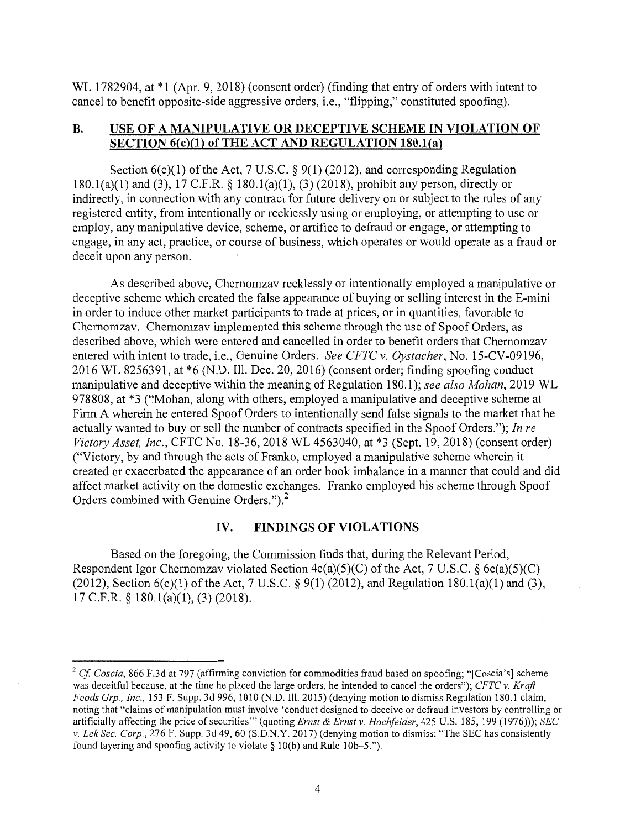WL 1782904, at **\*1** (Apr. 9, 2018) (consent order) (finding that entry of orders with intent to cancel to benefit opposite-side aggressive orders, i.e., "flipping," constituted spoofing).

## **B. USE OF A MANIPULATIVE OR DECEPTIVE SCHEME IN VIOLATION OF SECTION 6(c)(l) of THE ACT AND REGULATION 180.l(a)**

Section  $6(c)(1)$  of the Act, 7 U.S.C. § 9(1) (2012), and corresponding Regulation 180.l(a)(l) and (3), 17 C.F.R. § 180.l(a)(l), (3) (2018), prohibit any person, directly or indirectly, in connection with any contract for future delivery on or subject to the rules of any registered entity, from intentionally or recklessly using or employing, or attempting to use or employ, any manipulative device, scheme, or artifice to defraud or engage, or attempting to engage, in any act, practice, or course of business, which operates or would operate as a fraud or deceit upon any person.

As described above, Chernomzav recklessly or intentionally employed a manipulative or deceptive scheme which created the false appearance of buying or selling interest in the E-mini in order to induce other market participants to trade at prices, or in quantities, favorable to Chernomzav. Chernomzav implemented this scheme through the use of Spoof Orders, as described above, which were entered and cancelled in order to benefit orders that Chernomzav entered with intent to trade, i.e., Genuine Orders. *See CFTC v. Oystacher,* No. 15-CV-09196, 2016 WL 8256391, at \*6 (N.D. Ill. Dec. 20, 2016) (consent order; finding spoofing conduct manipulative and deceptive within the meaning of Regulation 180.1); *see also Mohan,* 2019 WL 978808, at \*3 (':Mohan, along with others, employed a manipulative and deceptive scheme at Firm A wherein he entered Spoof Orders to intentionally send false signals to the market that he actually wanted to buy or sell the number of contracts specified in the Spoof Orders."); *In re Victory Asset, Inc.,* CFTC No. 18-36, 2018 WL 4563040, at \*3 (Sept. 19, 2018) (consent order) ("Victory, by and through the acts of Franko, employed a manipulative scheme wherein it created or exacerbated the appearance of an order book imbalance in a manner that could and did affect market activity on the domestic exchanges. Franko employed his scheme through Spoof Orders combined with Genuine Orders.").<sup>2</sup>

## **IV. FINDINGS OF VIOLATIONS**

Based on the foregoing, the Commission finds that, during the Relevant Period, Respondent Igor Chernomzav violated Section  $4c(a)(5)(C)$  of the Act, 7 U.S.C. § 6c(a)(5)(C) (2012), Section  $6(c)(1)$  of the Act, 7 U.S.C. § 9(1) (2012), and Regulation 180.1(a)(1) and (3), 17 C.F.R. § 180.l(a)(l), (3) (2018).

<sup>2</sup>*Cf Coscia,* 866 F.3d at 797 (affirming conviction for commodities fraud based on spoofing; "[Coscia's] scheme was deceitful because, at the time he placed the large orders, he intended to cancel the orders"); *CFTC v. Kraft Foods Grp., Inc.,* 153 F. Supp. 3d 996, 1010 (N.D. Ill. 2015) (denying motion to dismiss Regulation 180.1 claim, noting that "claims of manipulation must involve 'conduct designed to deceive or defraud investors by controlling or artificially affecting the price of securities'" (quoting *Ernst & Ernst v. Hochfelder,* 425 U.S. 185, 199 (1976))); *SEC v. Lek Sec. Corp.,* 276 F. Supp. 3d 49, 60 (S.D.N.Y. 2017) (denying motion to dismiss; "The SEC has consistently found layering and spoofing activity to violate  $\S$  10(b) and Rule 10b-5.").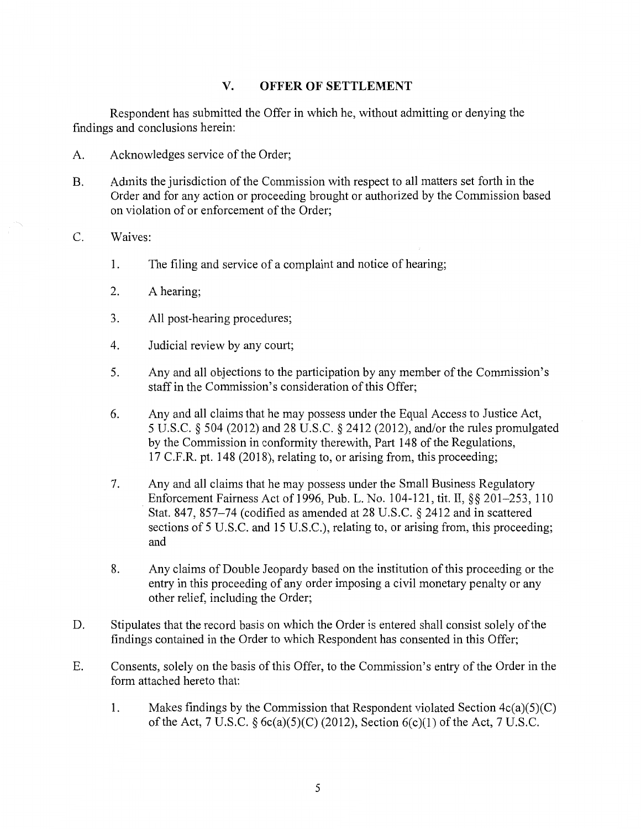# **V. OFFER OF SETTLEMENT**

Respondent has submitted the Offer in which he, without admitting or denying the findings and conclusions herein:

- A. Acknowledges service of the Order;
- B. Admits the jurisdiction of the Commission with respect to all matters set forth in the Order and for any action or proceeding brought or authorized by the Commission based on violation of or enforcement of the Order;
- C. Waives:
	- 1. The filing and service of a complaint and notice of hearing;
	- 2. A hearing;
	- 3. All post-hearing procedures;
	- 4. Judicial review by any court;
	- 5. Any and all objections to the participation by any member of the Commission's staff in the Commission's consideration of this Offer;
	- 6. Any and all claims that he may possess under the Equal Access to Justice Act, 5 U.S.C. § 504 (2012) and 28 U.S.C. § 2412 (2012), and/or the rules promulgated by the Commission in conformity therewith, Part 148 of the Regulations, 17 C.F.R. pt. 148 (2018), relating to, or arising from, this proceeding;
	- 7. Any and all claims that he may possess under the Small Business Regulatory . Enforcement Fairness Act of 1996, Pub. L. No. 104-121, tit. II,§§ 201-253, 110 Stat. 847, 857-74 (codified as amended at 28 U.S.C. § 2412 and in scattered sections of 5 U.S.C. and 15 U.S.C.), relating to, or arising from, this proceeding; and
	- 8. Any claims of Double Jeopardy based on the institution of this proceeding or the entry in this proceeding of any order imposing a civil monetary penalty or any other relief, including the Order;
- D. Stipulates that the record basis on which the Order is entered shall consist solely of the findings contained in the Order to which Respondent has consented in this Offer;
- E. Consents, solely on the basis of this Offer, to the Commission's entry of the Order in the form attached hereto that:
	- 1. Makes findings by the Commission that Respondent violated Section  $4c(a)(5)(C)$ of the Act, 7 U.S.C.  $\S$  6c(a)(5)(C) (2012), Section 6(c)(1) of the Act, 7 U.S.C.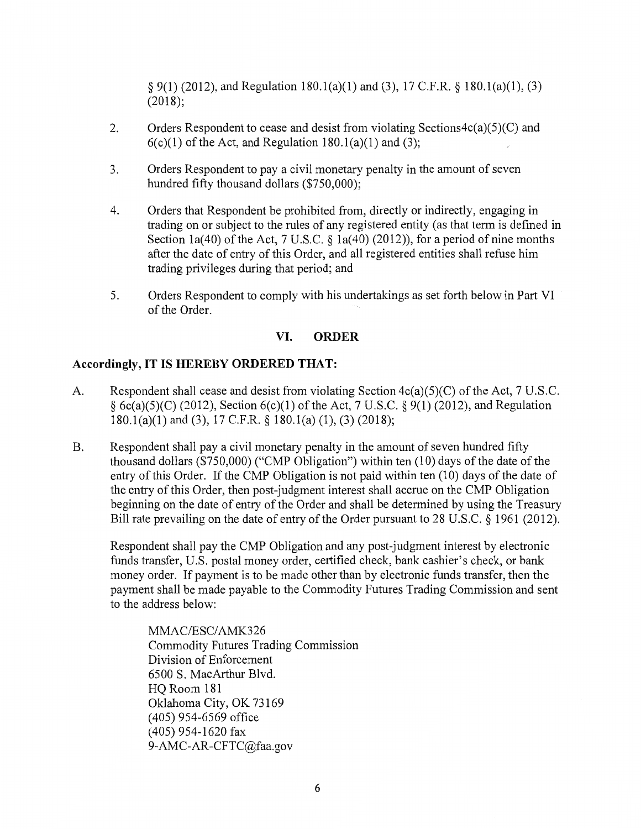§ 9(1) (2012), and Regulation 180.l(a)(l) and (3), 17 C.F.R. § 180.l(a)(l), (3) (2018);

- 2. Orders Respondent to cease and desist from violating Sections $4c(a)(5)(C)$  and  $6(c)(1)$  of the Act, and Regulation 180.1(a)(1) and (3);
- 3. Orders Respondent to pay a civil monetary penalty in the amount of seven hundred fifty thousand dollars (\$750,000);
- 4. Orders that Respondent be prohibited from, directly or indirectly, engaging in trading on or subject to the rules of any registered entity (as that term is defined in Section 1a(40) of the Act, 7 U.S.C. § 1a(40) (2012)), for a period of nine months after the date of entry of this Order, and all registered entities shall refuse him trading privileges during that period; and
- 5. Orders Respondent to comply with his undertakings as set forth below in Part VI of the Order.

# **VI. ORDER**

# **Accordingly, IT IS HEREBY ORDERED THAT:**

- A. Respondent shall cease and desist from violating Section 4c(a)(5)(C) of the Act, 7 U.S.C.  $\S$  6c(a)(5)(C) (2012), Section 6(c)(1) of the Act, 7 U.S.C.  $\S$  9(1) (2012), and Regulation 180.l(a)(l) and (3), 17 C.F.R. § 180.l(a) (1), (3) (2018);
- B. Respondent shall pay a civil monetary penalty in the amount of seven hundred fifty thousand dollars (\$750,000) ("CMP Obligation") within ten (10) days of the date of the entry of this Order. If the CMP Obligation is not paid within ten (10) days of the date of the entry of this Order, then post-judgment interest shall accrue on the CMP Obligation beginning on the date of entry of the Order and shall be determined by using the Treasury Bill rate prevailing on the date of entry of the Order pursuant to 28 U.S.C. § 1961 (2012).

Respondent shall pay the CMP Obligation and any post-judgment interest by electronic funds transfer, U.S. postal money order, certified check, bank cashier's check, or bank money order. If payment is to be made other than by electronic funds transfer, then the payment shall be made payable to the Commodity Futures Trading Commission and sent to the address below:

MMAC/ESC/AMK326 Commodity Futures Trading Commission Division of Enforcement 6500 S. MacArthur Blvd. HQ Room 181 Oklahoma City, OK 73169 ( 405) 954-6569 office (405) 954-1620 fax 9-AMC-AR-CFTC@faa.gov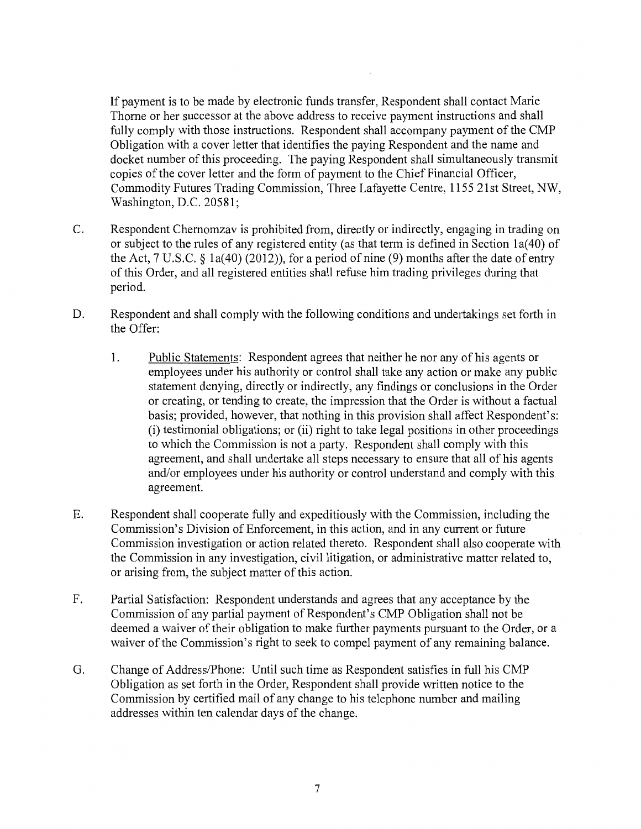If payment is to be made by electronic funds transfer, Respondent shall contact Marie Thome or her successor at the above address to receive payment instructions and shall fully comply with those instructions. Respondent shall accompany payment of the CMP Obligation with a cover letter that identifies the paying Respondent and the name and docket number of this proceeding. The paying Respondent shall simultaneously transmit copies of the cover letter and the form of payment to the Chief Financial Officer, Commodity Futures Trading Commission, Three Lafayette Centre, 1155 21st Street, NW, Washington, D.C. 20581;

- C. Respondent Chernomzav is prohibited from, directly or indirectly, engaging in trading on or subject to the rules of any registered entity (as that term is defined in Section 1a(40) of the Act, 7 U.S.C. § la(40) (2012)), for a period of nine (9) months after the date of entry of this Order, and all registered entities shall refuse him trading privileges during that period.
- D. Respondent and shall comply with the following conditions and undertakings set forth in the Offer:
	- 1. Public Statements: Respondent agrees that neither he nor any of his agents or employees under his authority or control shall take any action or make any public statement denying, directly or indirectly, any findings or conclusions in the Order or creating, or tending to create, the impression that the Order is without a factual basis; provided, however, that nothing in this provision shall affect Respondent's: (i) testimonial obligations; or (ii) right to take legal positions in other proceedings to which the Commission is not a party. Respondent shall comply with this agreement, and shall undertake all steps necessary to ensure that all of his agents and/or employees under his authority or control understand and comply with this agreement.
- E. Respondent shall cooperate fully and expeditiously with the Commission, including the Commission's Division of Enforcement, in this action, and in any current or future Commission investigation or action related thereto. Respondent shall also cooperate with the Commission in any investigation, civil litigation, or administrative matter related to, or arising from, the subject matter of this action.
- F. Partial Satisfaction: Respondent understands and agrees that any acceptance by the Commission of any partial payment of Respondent's CMP Obligation shall not be deemed a waiver of their obligation to make further payments pursuant to the Order, or a waiver of the Commission's right to seek to compel payment of any remaining balance.
- G. Change of Address/Phone: Until such time as Respondent satisfies in full his CMP Obligation as set forth in the Order, Respondent shall provide written notice to the Commission by certified mail of any change to his telephone number and mailing addresses within ten calendar days of the change.